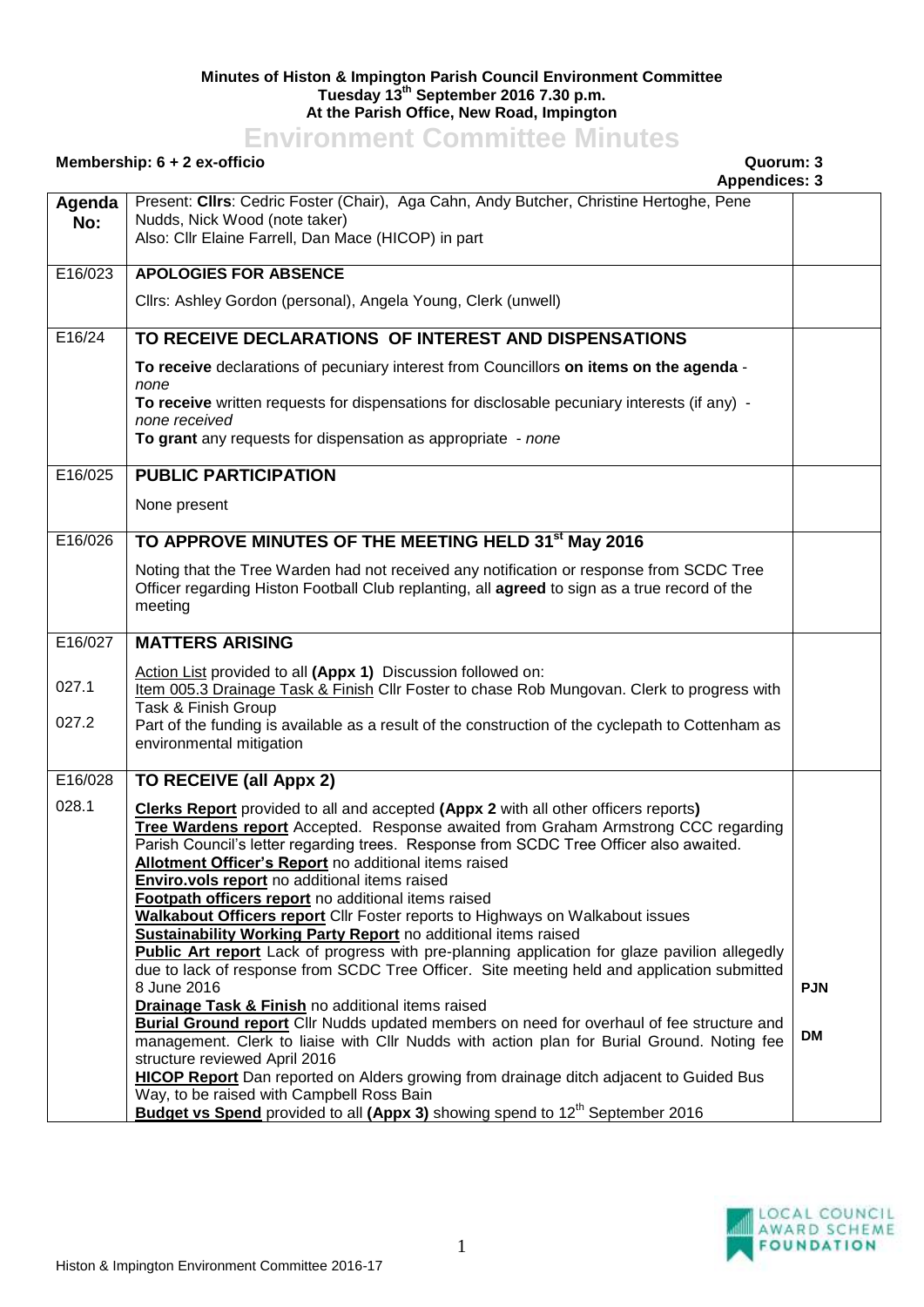## **Minutes of Histon & Impington Parish Council Environment Committee Tuesday 13th September 2016 7.30 p.m. At the Parish Office, New Road, Impington**

## **Environment Committee Minutes**

## **Membership: 6 + 2 ex-officio Quorum: 3**

**Appendices: 3 Agenda No:** Present: **Cllrs**: Cedric Foster (Chair), Aga Cahn, Andy Butcher, Christine Hertoghe, Pene Nudds, Nick Wood (note taker) Also: Cllr Elaine Farrell, Dan Mace (HICOP) in part E16/023 **APOLOGIES FOR ABSENCE** Cllrs: Ashley Gordon (personal), Angela Young, Clerk (unwell) E16/24 **TO RECEIVE DECLARATIONS OF INTEREST AND DISPENSATIONS To receive** declarations of pecuniary interest from Councillors **on items on the agenda** *none* **To receive** written requests for dispensations for disclosable pecuniary interests (if any) *none received* **To grant** any requests for dispensation as appropriate - *none* E16/025 **PUBLIC PARTICIPATION** None present E16/026 **TO APPROVE MINUTES OF THE MEETING HELD 31st May 2016** Noting that the Tree Warden had not received any notification or response from SCDC Tree Officer regarding Histon Football Club replanting, all **agreed** to sign as a true record of the meeting E16/027 027.1 027.2 **MATTERS ARISING** Action List provided to all **(Appx 1)** Discussion followed on: Item 005.3 Drainage Task & Finish Cllr Foster to chase Rob Mungovan. Clerk to progress with Task & Finish Group Part of the funding is available as a result of the construction of the cyclepath to Cottenham as environmental mitigation E16/028 028.1 **TO RECEIVE (all Appx 2) Clerks Report** provided to all and accepted **(Appx 2** with all other officers reports**) Tree Wardens report** Accepted. Response awaited from Graham Armstrong CCC regarding Parish Council's letter regarding trees. Response from SCDC Tree Officer also awaited. **Allotment Officer's Report** no additional items raised **Enviro.vols report** no additional items raised **Footpath officers report** no additional items raised **Walkabout Officers report** Cllr Foster reports to Highways on Walkabout issues **Sustainability Working Party Report** no additional items raised **Public Art report** Lack of progress with pre-planning application for glaze pavilion allegedly due to lack of response from SCDC Tree Officer. Site meeting held and application submitted 8 June 2016 **Drainage Task & Finish no additional items raised Burial Ground report** Cllr Nudds updated members on need for overhaul of fee structure and management. Clerk to liaise with Cllr Nudds with action plan for Burial Ground. Noting fee structure reviewed April 2016 **HICOP Report** Dan reported on Alders growing from drainage ditch adjacent to Guided Bus Way, to be raised with Campbell Ross Bain **Budget vs Spend** provided to all (Appx 3) showing spend to 12<sup>th</sup> September 2016 **PJN DM**